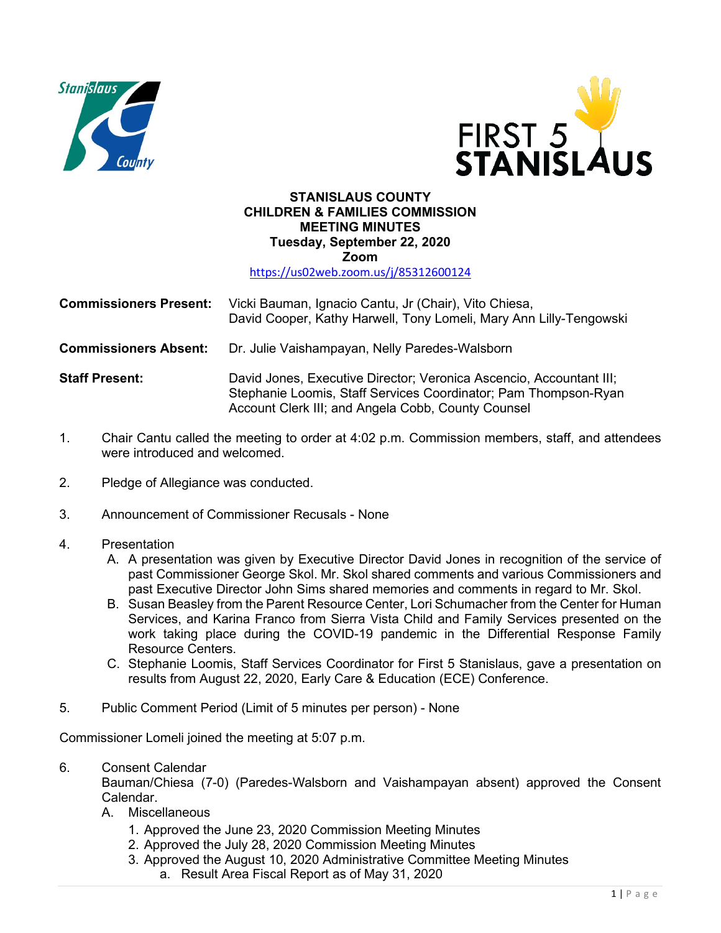



## **STANISLAUS COUNTY CHILDREN & FAMILIES COMMISSION MEETING MINUTES Tuesday, September 22, 2020 Zoom**

<https://us02web.zoom.us/j/85312600124>

- **Commissioners Present:** Vicki Bauman, Ignacio Cantu, Jr (Chair), Vito Chiesa, David Cooper, Kathy Harwell, Tony Lomeli, Mary Ann Lilly-Tengowski
- **Commissioners Absent:** Dr. Julie Vaishampayan, Nelly Paredes-Walsborn
- **Staff Present:** David Jones, Executive Director; Veronica Ascencio, Accountant III; Stephanie Loomis, Staff Services Coordinator; Pam Thompson-Ryan Account Clerk III; and Angela Cobb, County Counsel
- 1. Chair Cantu called the meeting to order at 4:02 p.m. Commission members, staff, and attendees were introduced and welcomed.
- 2. Pledge of Allegiance was conducted.
- 3. Announcement of Commissioner Recusals None
- 4. Presentation
	- A. A presentation was given by Executive Director David Jones in recognition of the service of past Commissioner George Skol. Mr. Skol shared comments and various Commissioners and past Executive Director John Sims shared memories and comments in regard to Mr. Skol.
	- B. Susan Beasley from the Parent Resource Center, Lori Schumacher from the Center for Human Services, and Karina Franco from Sierra Vista Child and Family Services presented on the work taking place during the COVID-19 pandemic in the Differential Response Family Resource Centers.
	- C. Stephanie Loomis, Staff Services Coordinator for First 5 Stanislaus, gave a presentation on results from August 22, 2020, Early Care & Education (ECE) Conference.
- 5. Public Comment Period (Limit of 5 minutes per person) None

Commissioner Lomeli joined the meeting at 5:07 p.m.

6. Consent Calendar

Bauman/Chiesa (7-0) (Paredes-Walsborn and Vaishampayan absent) approved the Consent Calendar.

- A. Miscellaneous
	- 1. Approved the June 23, 2020 Commission Meeting Minutes
	- 2. Approved the July 28, 2020 Commission Meeting Minutes
	- 3. Approved the August 10, 2020 Administrative Committee Meeting Minutes
		- a. Result Area Fiscal Report as of May 31, 2020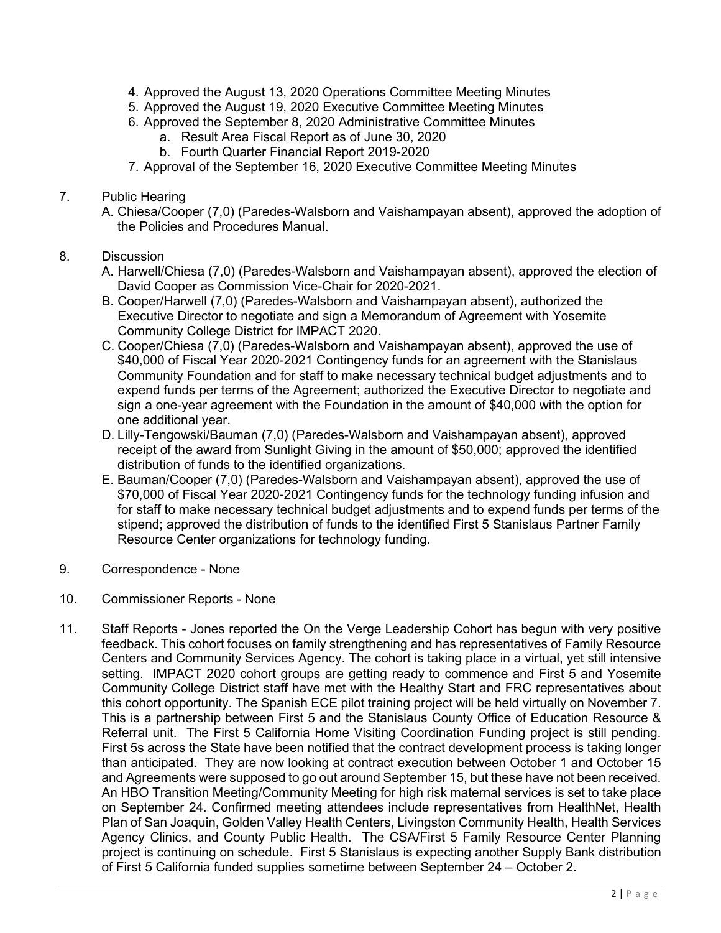- 4. Approved the August 13, 2020 Operations Committee Meeting Minutes
- 5. Approved the August 19, 2020 Executive Committee Meeting Minutes
- 6. Approved the September 8, 2020 Administrative Committee Minutes
	- a. Result Area Fiscal Report as of June 30, 2020
	- b. Fourth Quarter Financial Report 2019-2020
- 7. Approval of the September 16, 2020 Executive Committee Meeting Minutes
- 7. Public Hearing
	- A. Chiesa/Cooper (7,0) (Paredes-Walsborn and Vaishampayan absent), approved the adoption of the Policies and Procedures Manual.
- 8. Discussion
	- A. Harwell/Chiesa (7,0) (Paredes-Walsborn and Vaishampayan absent), approved the election of David Cooper as Commission Vice-Chair for 2020-2021.
	- B. Cooper/Harwell (7,0) (Paredes-Walsborn and Vaishampayan absent), authorized the Executive Director to negotiate and sign a Memorandum of Agreement with Yosemite Community College District for IMPACT 2020.
	- C. Cooper/Chiesa (7,0) (Paredes-Walsborn and Vaishampayan absent), approved the use of \$40,000 of Fiscal Year 2020-2021 Contingency funds for an agreement with the Stanislaus Community Foundation and for staff to make necessary technical budget adjustments and to expend funds per terms of the Agreement; authorized the Executive Director to negotiate and sign a one-year agreement with the Foundation in the amount of \$40,000 with the option for one additional year.
	- D. Lilly-Tengowski/Bauman (7,0) (Paredes-Walsborn and Vaishampayan absent), approved receipt of the award from Sunlight Giving in the amount of \$50,000; approved the identified distribution of funds to the identified organizations.
	- E. Bauman/Cooper (7,0) (Paredes-Walsborn and Vaishampayan absent), approved the use of \$70,000 of Fiscal Year 2020-2021 Contingency funds for the technology funding infusion and for staff to make necessary technical budget adjustments and to expend funds per terms of the stipend; approved the distribution of funds to the identified First 5 Stanislaus Partner Family Resource Center organizations for technology funding.
- 9. Correspondence None
- 10. Commissioner Reports None
- 11. Staff Reports Jones reported the On the Verge Leadership Cohort has begun with very positive feedback. This cohort focuses on family strengthening and has representatives of Family Resource Centers and Community Services Agency. The cohort is taking place in a virtual, yet still intensive setting. IMPACT 2020 cohort groups are getting ready to commence and First 5 and Yosemite Community College District staff have met with the Healthy Start and FRC representatives about this cohort opportunity. The Spanish ECE pilot training project will be held virtually on November 7. This is a partnership between First 5 and the Stanislaus County Office of Education Resource & Referral unit. The First 5 California Home Visiting Coordination Funding project is still pending. First 5s across the State have been notified that the contract development process is taking longer than anticipated. They are now looking at contract execution between October 1 and October 15 and Agreements were supposed to go out around September 15, but these have not been received. An HBO Transition Meeting/Community Meeting for high risk maternal services is set to take place on September 24. Confirmed meeting attendees include representatives from HealthNet, Health Plan of San Joaquin, Golden Valley Health Centers, Livingston Community Health, Health Services Agency Clinics, and County Public Health. The CSA/First 5 Family Resource Center Planning project is continuing on schedule. First 5 Stanislaus is expecting another Supply Bank distribution of First 5 California funded supplies sometime between September 24 – October 2.